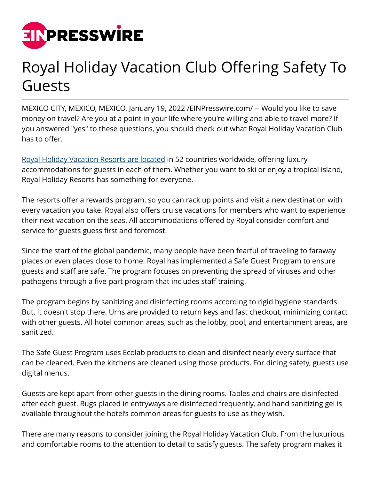

## Royal Holiday Vacation Club Offering Safety To Guests

MEXICO CITY, MEXICO, MEXICO, January 19, 2022 [/EINPresswire.com](http://www.einpresswire.com)/ -- Would you like to save money on travel? Are you at a point in your life where you're willing and able to travel more? If you answered "yes" to these questions, you should check out what Royal Holiday Vacation Club has to offer.

[Royal Holiday Vacation Resorts are located](https://www.hotel-online.com/press_releases/release/royal-holiday-vacation-club-recognized-by-the-american-resort-development-a/) in 52 countries worldwide, offering luxury accommodations for guests in each of them. Whether you want to ski or enjoy a tropical island, Royal Holiday Resorts has something for everyone.

The resorts offer a rewards program, so you can rack up points and visit a new destination with every vacation you take. Royal also offers cruise vacations for members who want to experience their next vacation on the seas. All accommodations offered by Royal consider comfort and service for guests guess first and foremost.

Since the start of the global pandemic, many people have been fearful of traveling to faraway places or even places close to home. Royal has implemented a Safe Guest Program to ensure guests and staff are safe. The program focuses on preventing the spread of viruses and other pathogens through a five-part program that includes staff training.

The program begins by sanitizing and disinfecting rooms according to rigid hygiene standards. But, it doesn't stop there. Urns are provided to return keys and fast checkout, minimizing contact with other guests. All hotel common areas, such as the lobby, pool, and entertainment areas, are sanitized.

The Safe Guest Program uses Ecolab products to clean and disinfect nearly every surface that can be cleaned. Even the kitchens are cleaned using those products. For dining safety, guests use digital menus.

Guests are kept apart from other guests in the dining rooms. Tables and chairs are disinfected after each guest. Rugs placed in entryways are disinfected frequently, and hand sanitizing gel is available throughout the hotel's common areas for guests to use as they wish.

There are many reasons to consider joining the Royal Holiday Vacation Club. From the luxurious and comfortable rooms to the attention to detail to satisfy guests. The safety program makes it